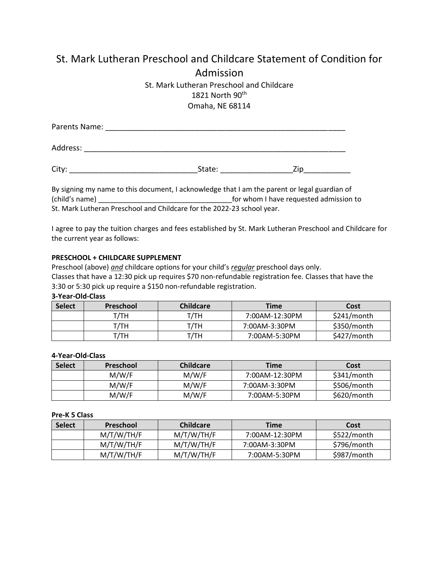# St. Mark Lutheran Preschool and Childcare Statement of Condition for Admission

## St. Mark Lutheran Preschool and Childcare 1821 North 90th Omaha, NE 68114

| Parents Name: |        |     |  |  |
|---------------|--------|-----|--|--|
| Address:      |        |     |  |  |
| City:         | State: | /in |  |  |

By signing my name to this document, I acknowledge that I am the parent or legal guardian of (child's name) \_\_\_\_\_\_\_\_\_\_\_\_\_\_\_\_\_\_\_\_\_\_\_\_\_\_\_\_\_\_\_\_\_\_for whom I have requested admission to St. Mark Lutheran Preschool and Childcare for the 2022-23 school year.

I agree to pay the tuition charges and fees established by St. Mark Lutheran Preschool and Childcare for the current year as follows:

#### **PRESCHOOL + CHILDCARE SUPPLEMENT**

Preschool (above) *and* childcare options for your child's *regular* preschool days only. Classes that have a 12:30 pick up requires \$70 non-refundable registration fee. Classes that have the 3:30 or 5:30 pick up require a \$150 non-refundable registration.

#### **3-Year-Old-Class**

| <b>Select</b> | Preschool | Childcare | <b>Time</b>    | Cost        |
|---------------|-----------|-----------|----------------|-------------|
|               | т/тн      | т/тн      | 7:00AM-12:30PM | \$241/month |
|               | т/тн      | т/тн      | 7:00AM-3:30PM  | \$350/month |
|               | т/тн      | г/тн      | 7:00AM-5:30PM  | \$427/month |

#### **4-Year-Old-Class**

| <b>Select</b> | <b>Preschool</b> | <b>Childcare</b> | <b>Time</b>    | Cost        |
|---------------|------------------|------------------|----------------|-------------|
|               | M/W/F            | M/W/F            | 7:00AM-12:30PM | \$341/month |
|               | M/W/F            | M/W/F            | 7:00AM-3:30PM  | \$506/month |
|               | M/W/F            | M/W/F            | 7:00AM-5:30PM  | \$620/month |

**Pre-K 5 Class**

| <b>Select</b> | Preschool  | <b>Childcare</b> | <b>Time</b>    | Cost        |
|---------------|------------|------------------|----------------|-------------|
|               | M/T/W/TH/F | M/T/W/TH/F       | 7:00AM-12:30PM | \$522/month |
|               | M/T/W/TH/F | M/T/W/TH/F       | 7:00AM-3:30PM  | \$796/month |
|               | M/T/W/TH/F | M/T/W/TH/F       | 7:00AM-5:30PM  | \$987/month |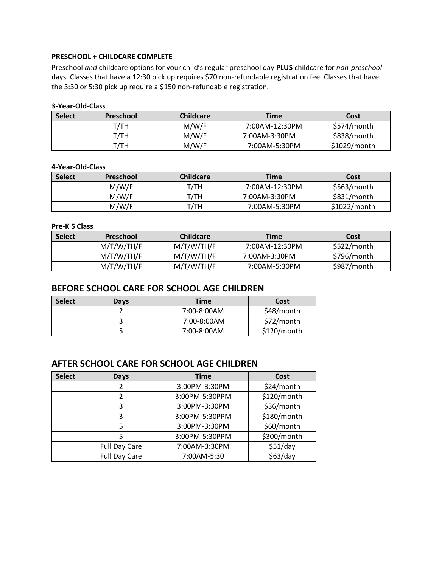#### **PRESCHOOL + CHILDCARE COMPLETE**

Preschool *and* childcare options for your child's regular preschool day **PLUS** childcare for *non-preschool*  days. Classes that have a 12:30 pick up requires \$70 non-refundable registration fee. Classes that have the 3:30 or 5:30 pick up require a \$150 non-refundable registration.

#### **3-Year-Old-Class**

| <b>Select</b> | <b>Preschool</b> | <b>Childcare</b> | <b>Time</b>    | Cost           |
|---------------|------------------|------------------|----------------|----------------|
|               | т/тн             | M/W/F            | 7:00AM-12:30PM | \$574/month    |
|               | т/тн             | M/W/F            | 7:00AM-3:30PM  | \$838/month    |
|               | т/тн             | M/W/F            | 7:00AM-5:30PM  | $$1029/m$ onth |

#### **4-Year-Old-Class**

| <b>Select</b> | Preschool | <b>Childcare</b> | <b>Time</b>    | Cost           |
|---------------|-----------|------------------|----------------|----------------|
|               | M/W/F     | т/тн             | 7:00AM-12:30PM | \$563/month    |
|               | M/W/F     | т/тн             | 7:00AM-3:30PM  | \$831/month    |
|               | M/W/F     | т/тн             | 7:00AM-5:30PM  | $$1022/m$ onth |

#### **Pre-K 5 Class**

| <b>Select</b> | <b>Preschool</b> | <b>Childcare</b> | <b>Time</b>    | Cost        |
|---------------|------------------|------------------|----------------|-------------|
|               | M/T/W/TH/F       | M/T/W/TH/F       | 7:00AM-12:30PM | \$522/month |
|               | M/T/W/TH/F       | M/T/W/TH/F       | 7:00AM-3:30PM  | \$796/month |
|               | M/T/W/TH/F       | M/T/W/TH/F       | 7:00AM-5:30PM  | \$987/month |

### **BEFORE SCHOOL CARE FOR SCHOOL AGE CHILDREN**

| <b>Select</b> | Days | <b>Time</b> | Cost        |
|---------------|------|-------------|-------------|
|               |      | 7:00-8:00AM | \$48/month  |
|               |      | 7:00-8:00AM | \$72/month  |
|               |      | 7:00-8:00AM | \$120/month |

## **AFTER SCHOOL CARE FOR SCHOOL AGE CHILDREN**

| <b>Select</b> | Days                 | <b>Time</b>    | Cost        |
|---------------|----------------------|----------------|-------------|
|               |                      | 3:00PM-3:30PM  | \$24/month  |
|               | $\mathcal{P}$        | 3:00PM-5:30PPM | \$120/month |
|               | 3                    | 3:00PM-3:30PM  | \$36/month  |
|               | 3                    | 3:00PM-5:30PPM | \$180/month |
|               |                      | 3:00PM-3:30PM  | \$60/month  |
|               |                      | 3:00PM-5:30PPM | \$300/month |
|               | <b>Full Day Care</b> | 7:00AM-3:30PM  | \$51/day    |
|               | <b>Full Day Care</b> | 7:00AM-5:30    | \$63/day    |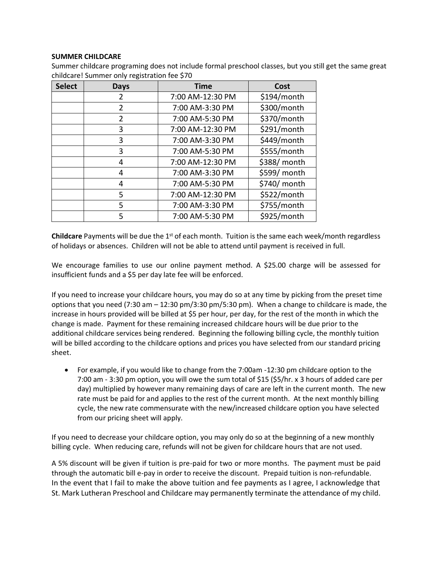#### **SUMMER CHILDCARE**

| <b>Select</b> | <b>Days</b>    | <b>Time</b>      | Cost         |
|---------------|----------------|------------------|--------------|
|               | 2              | 7:00 AM-12:30 PM | \$194/month  |
|               | $\overline{2}$ | 7:00 AM-3:30 PM  | \$300/month  |
|               | $\overline{2}$ | 7:00 AM-5:30 PM  | \$370/month  |
|               | 3              | 7:00 AM-12:30 PM | \$291/month  |
|               | 3              | 7:00 AM-3:30 PM  | \$449/month  |
|               | 3              | 7:00 AM-5:30 PM  | \$555/month  |
|               | 4              | 7:00 AM-12:30 PM | \$388/ month |
|               | 4              | 7:00 AM-3:30 PM  | \$599/ month |
|               | 4              | 7:00 AM-5:30 PM  | \$740/ month |
|               | 5              | 7:00 AM-12:30 PM | \$522/month  |
|               | 5              | 7:00 AM-3:30 PM  | \$755/month  |
|               | 5              | 7:00 AM-5:30 PM  | \$925/month  |

Summer childcare programing does not include formal preschool classes, but you still get the same great childcare! Summer only registration fee \$70

**Childcare** Payments will be due the 1<sup>st</sup> of each month. Tuition is the same each week/month regardless of holidays or absences. Children will not be able to attend until payment is received in full.

We encourage families to use our online payment method. A \$25.00 charge will be assessed for insufficient funds and a \$5 per day late fee will be enforced.

If you need to increase your childcare hours, you may do so at any time by picking from the preset time options that you need (7:30 am – 12:30 pm/3:30 pm/5:30 pm). When a change to childcare is made, the increase in hours provided will be billed at \$5 per hour, per day, for the rest of the month in which the change is made. Payment for these remaining increased childcare hours will be due prior to the additional childcare services being rendered. Beginning the following billing cycle, the monthly tuition will be billed according to the childcare options and prices you have selected from our standard pricing sheet.

• For example, if you would like to change from the 7:00am -12:30 pm childcare option to the 7:00 am - 3:30 pm option, you will owe the sum total of \$15 (\$5/hr. x 3 hours of added care per day) multiplied by however many remaining days of care are left in the current month. The new rate must be paid for and applies to the rest of the current month. At the next monthly billing cycle, the new rate commensurate with the new/increased childcare option you have selected from our pricing sheet will apply.

If you need to decrease your childcare option, you may only do so at the beginning of a new monthly billing cycle. When reducing care, refunds will not be given for childcare hours that are not used.

A 5% discount will be given if tuition is pre-paid for two or more months. The payment must be paid through the automatic bill e-pay in order to receive the discount. Prepaid tuition is non-refundable. In the event that I fail to make the above tuition and fee payments as I agree, I acknowledge that St. Mark Lutheran Preschool and Childcare may permanently terminate the attendance of my child.